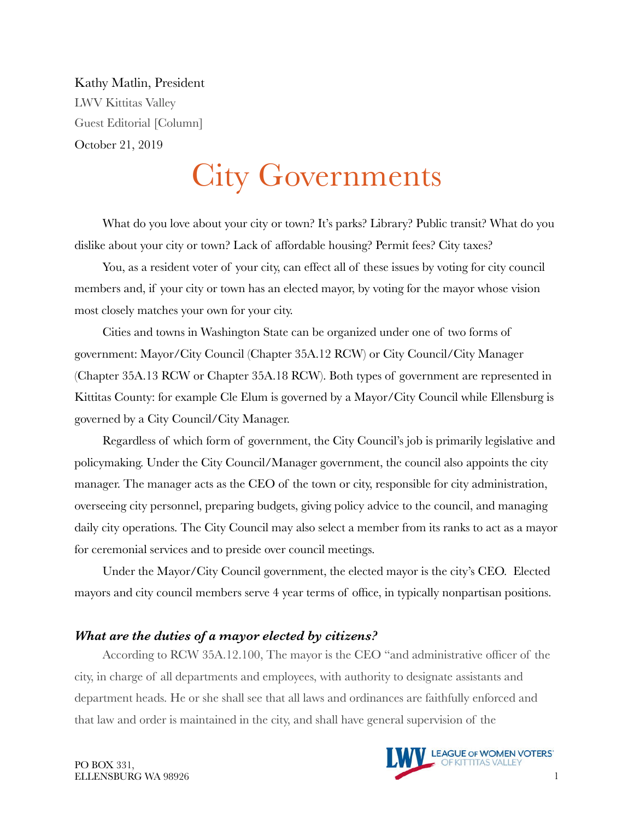Kathy Matlin, President LWV Kittitas Valley Guest Editorial [Column] October 21, 2019

# City Governments

What do you love about your city or town? It's parks? Library? Public transit? What do you dislike about your city or town? Lack of affordable housing? Permit fees? City taxes?

You, as a resident voter of your city, can effect all of these issues by voting for city council members and, if your city or town has an elected mayor, by voting for the mayor whose vision most closely matches your own for your city.

Cities and towns in Washington State can be organized under one of two forms of government: Mayor/City Council (Chapter 35A.12 RCW) or City Council/City Manager (Chapter 35A.13 RCW or Chapter 35A.18 RCW). Both types of government are represented in Kittitas County: for example Cle Elum is governed by a Mayor/City Council while Ellensburg is governed by a City Council/City Manager.

Regardless of which form of government, the City Council's job is primarily legislative and policymaking. Under the City Council/Manager government, the council also appoints the city manager. The manager acts as the CEO of the town or city, responsible for city administration, overseeing city personnel, preparing budgets, giving policy advice to the council, and managing daily city operations. The City Council may also select a member from its ranks to act as a mayor for ceremonial services and to preside over council meetings.

Under the Mayor/City Council government, the elected mayor is the city's CEO. Elected mayors and city council members serve 4 year terms of office, in typically nonpartisan positions.

#### *What are the duties of a mayor elected by citizens?*

According to RCW 35A.12.100, The mayor is the CEO "and administrative officer of the city, in charge of all departments and employees, with authority to designate assistants and department heads. He or she shall see that all laws and ordinances are faithfully enforced and that law and order is maintained in the city, and shall have general supervision of the

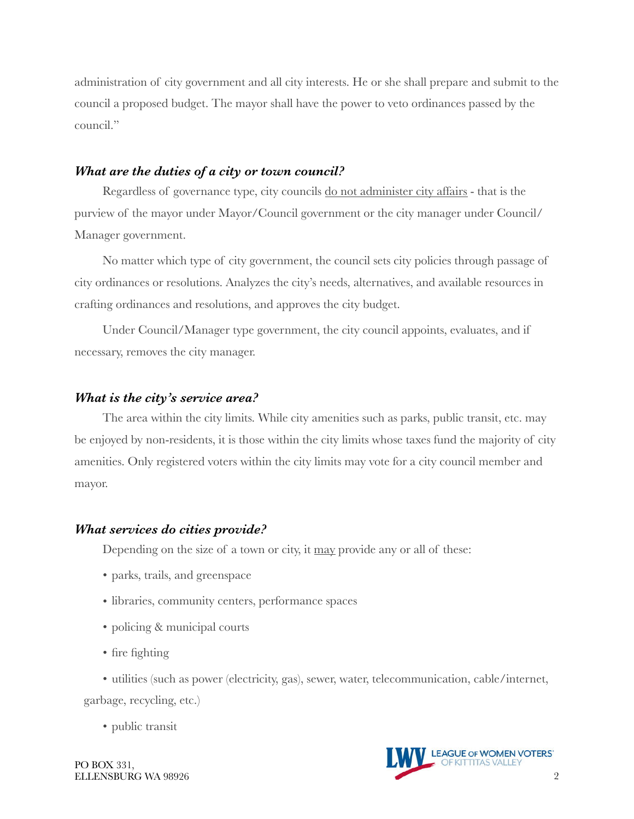administration of city government and all city interests. He or she shall prepare and submit to the council a proposed budget. The mayor shall have the power to veto ordinances passed by the council."

### *What are the duties of a city or town council?*

Regardless of governance type, city councils do not administer city affairs - that is the purview of the mayor under Mayor/Council government or the city manager under Council/ Manager government.

No matter which type of city government, the council sets city policies through passage of city ordinances or resolutions. Analyzes the city's needs, alternatives, and available resources in crafting ordinances and resolutions, and approves the city budget.

Under Council/Manager type government, the city council appoints, evaluates, and if necessary, removes the city manager.

## *What is the city's service area?*

The area within the city limits. While city amenities such as parks, public transit, etc. may be enjoyed by non-residents, it is those within the city limits whose taxes fund the majority of city amenities. Only registered voters within the city limits may vote for a city council member and mayor.

## *What services do cities provide?*

Depending on the size of a town or city, it may provide any or all of these:

- parks, trails, and greenspace
- libraries, community centers, performance spaces
- policing & municipal courts
- fire fighting
- utilities (such as power (electricity, gas), sewer, water, telecommunication, cable/internet,

garbage, recycling, etc.)

• public transit